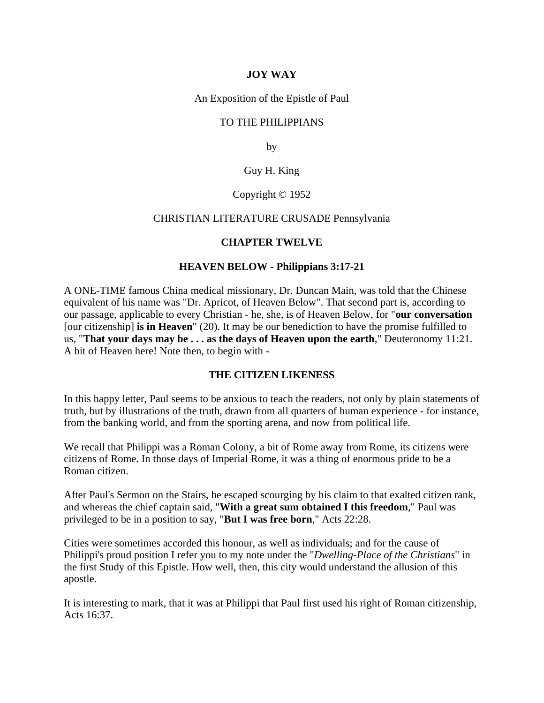## **JOY WAY**

An Exposition of the Epistle of Paul

## TO THE PHILIPPIANS

by

## Guy H. King

#### Copyright © 1952

#### CHRISTIAN LITERATURE CRUSADE Pennsylvania

### **CHAPTER TWELVE**

### **HEAVEN BELOW - Philippians 3:17-21**

A ONE-TIME famous China medical missionary, Dr. Duncan Main, was told that the Chinese equivalent of his name was "Dr. Apricot, of Heaven Below". That second part is, according to our passage, applicable to every Christian - he, she, is of Heaven Below, for "**our conversation** [our citizenship] **is in Heaven**" (20). It may be our benediction to have the promise fulfilled to us, "**That your days may be . . . as the days of Heaven upon the earth**," Deuteronomy 11:21. A bit of Heaven here! Note then, to begin with -

## **THE CITIZEN LIKENESS**

In this happy letter, Paul seems to be anxious to teach the readers, not only by plain statements of truth, but by illustrations of the truth, drawn from all quarters of human experience - for instance, from the banking world, and from the sporting arena, and now from political life.

We recall that Philippi was a Roman Colony, a bit of Rome away from Rome, its citizens were citizens of Rome. In those days of Imperial Rome, it was a thing of enormous pride to be a Roman citizen.

After Paul's Sermon on the Stairs, he escaped scourging by his claim to that exalted citizen rank, and whereas the chief captain said, "**With a great sum obtained I this freedom**," Paul was privileged to be in a position to say, "**But I was free born**," Acts 22:28.

Cities were sometimes accorded this honour, as well as individuals; and for the cause of Philippi's proud position I refer you to my note under the "*Dwelling-Place of the Christians*" in the first Study of this Epistle. How well, then, this city would understand the allusion of this apostle.

It is interesting to mark, that it was at Philippi that Paul first used his right of Roman citizenship, Acts 16:37.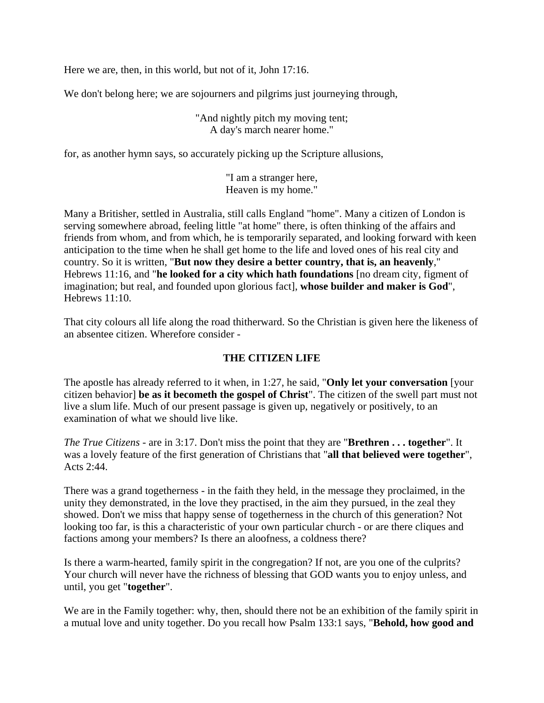Here we are, then, in this world, but not of it, John 17:16.

We don't belong here; we are sojourners and pilgrims just journeying through,

"And nightly pitch my moving tent; A day's march nearer home."

for, as another hymn says, so accurately picking up the Scripture allusions,

"I am a stranger here, Heaven is my home."

Many a Britisher, settled in Australia, still calls England "home". Many a citizen of London is serving somewhere abroad, feeling little "at home" there, is often thinking of the affairs and friends from whom, and from which, he is temporarily separated, and looking forward with keen anticipation to the time when he shall get home to the life and loved ones of his real city and country. So it is written, "**But now they desire a better country, that is, an heavenly**," Hebrews 11:16, and "**he looked for a city which hath foundations** [no dream city, figment of imagination; but real, and founded upon glorious fact], **whose builder and maker is God**", Hebrews 11:10.

That city colours all life along the road thitherward. So the Christian is given here the likeness of an absentee citizen. Wherefore consider -

# **THE CITIZEN LIFE**

The apostle has already referred to it when, in 1:27, he said, "**Only let your conversation** [your citizen behavior] **be as it becometh the gospel of Christ**". The citizen of the swell part must not live a slum life. Much of our present passage is given up, negatively or positively, to an examination of what we should live like.

*The True Citizens* - are in 3:17. Don't miss the point that they are "**Brethren . . . together**". It was a lovely feature of the first generation of Christians that "**all that believed were together**", Acts 2:44.

There was a grand togetherness - in the faith they held, in the message they proclaimed, in the unity they demonstrated, in the love they practised, in the aim they pursued, in the zeal they showed. Don't we miss that happy sense of togetherness in the church of this generation? Not looking too far, is this a characteristic of your own particular church - or are there cliques and factions among your members? Is there an aloofness, a coldness there?

Is there a warm-hearted, family spirit in the congregation? If not, are you one of the culprits? Your church will never have the richness of blessing that GOD wants you to enjoy unless, and until, you get "**together**".

We are in the Family together: why, then, should there not be an exhibition of the family spirit in a mutual love and unity together. Do you recall how Psalm 133:1 says, "**Behold, how good and**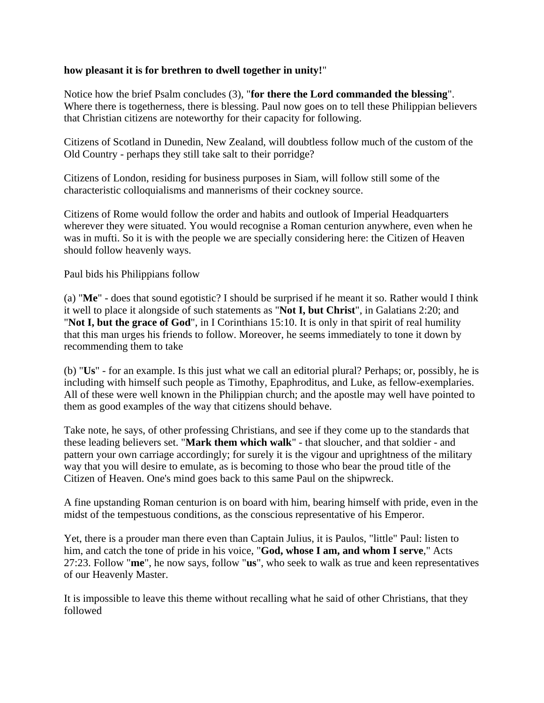## **how pleasant it is for brethren to dwell together in unity!**"

Notice how the brief Psalm concludes (3), "**for there the Lord commanded the blessing**". Where there is togetherness, there is blessing. Paul now goes on to tell these Philippian believers that Christian citizens are noteworthy for their capacity for following.

Citizens of Scotland in Dunedin, New Zealand, will doubtless follow much of the custom of the Old Country - perhaps they still take salt to their porridge?

Citizens of London, residing for business purposes in Siam, will follow still some of the characteristic colloquialisms and mannerisms of their cockney source.

Citizens of Rome would follow the order and habits and outlook of Imperial Headquarters wherever they were situated. You would recognise a Roman centurion anywhere, even when he was in mufti. So it is with the people we are specially considering here: the Citizen of Heaven should follow heavenly ways.

Paul bids his Philippians follow

(a) "**Me**" - does that sound egotistic? I should be surprised if he meant it so. Rather would I think it well to place it alongside of such statements as "**Not I, but Christ**", in Galatians 2:20; and "**Not I, but the grace of God**", in I Corinthians 15:10. It is only in that spirit of real humility that this man urges his friends to follow. Moreover, he seems immediately to tone it down by recommending them to take

(b) "**Us**" - for an example. Is this just what we call an editorial plural? Perhaps; or, possibly, he is including with himself such people as Timothy, Epaphroditus, and Luke, as fellow-exemplaries. All of these were well known in the Philippian church; and the apostle may well have pointed to them as good examples of the way that citizens should behave.

Take note, he says, of other professing Christians, and see if they come up to the standards that these leading believers set. "**Mark them which walk**" - that sloucher, and that soldier - and pattern your own carriage accordingly; for surely it is the vigour and uprightness of the military way that you will desire to emulate, as is becoming to those who bear the proud title of the Citizen of Heaven. One's mind goes back to this same Paul on the shipwreck.

A fine upstanding Roman centurion is on board with him, bearing himself with pride, even in the midst of the tempestuous conditions, as the conscious representative of his Emperor.

Yet, there is a prouder man there even than Captain Julius, it is Paulos, "little" Paul: listen to him, and catch the tone of pride in his voice, "**God, whose I am, and whom I serve**," Acts 27:23. Follow "**me**", he now says, follow "**us**", who seek to walk as true and keen representatives of our Heavenly Master.

It is impossible to leave this theme without recalling what he said of other Christians, that they followed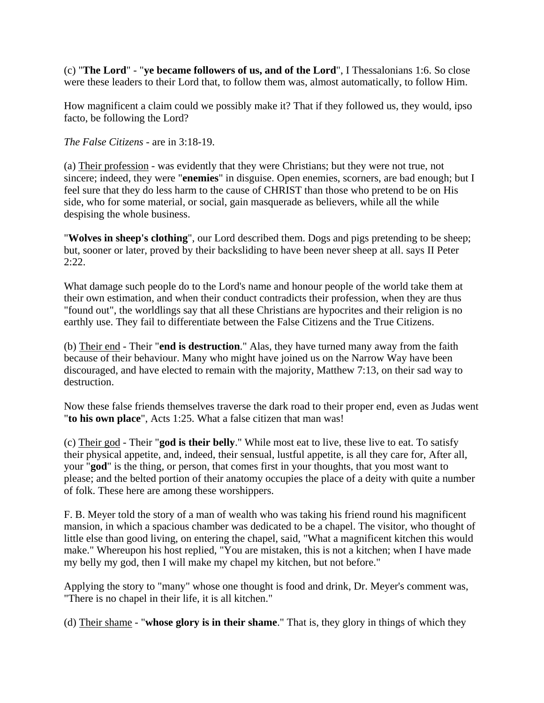(c) "**The Lord**" - "**ye became followers of us, and of the Lord**", I Thessalonians 1:6. So close were these leaders to their Lord that, to follow them was, almost automatically, to follow Him.

How magnificent a claim could we possibly make it? That if they followed us, they would, ipso facto, be following the Lord?

*The False Citizens* - are in 3:18-19.

(a) Their profession - was evidently that they were Christians; but they were not true, not sincere; indeed, they were "**enemies**" in disguise. Open enemies, scorners, are bad enough; but I feel sure that they do less harm to the cause of CHRIST than those who pretend to be on His side, who for some material, or social, gain masquerade as believers, while all the while despising the whole business.

"**Wolves in sheep's clothing**", our Lord described them. Dogs and pigs pretending to be sheep; but, sooner or later, proved by their backsliding to have been never sheep at all. says II Peter 2:22.

What damage such people do to the Lord's name and honour people of the world take them at their own estimation, and when their conduct contradicts their profession, when they are thus "found out", the worldlings say that all these Christians are hypocrites and their religion is no earthly use. They fail to differentiate between the False Citizens and the True Citizens.

(b) Their end - Their "**end is destruction**." Alas, they have turned many away from the faith because of their behaviour. Many who might have joined us on the Narrow Way have been discouraged, and have elected to remain with the majority, Matthew 7:13, on their sad way to destruction.

Now these false friends themselves traverse the dark road to their proper end, even as Judas went "**to his own place**", Acts 1:25. What a false citizen that man was!

(c) Their god - Their "**god is their belly**." While most eat to live, these live to eat. To satisfy their physical appetite, and, indeed, their sensual, lustful appetite, is all they care for, After all, your "**god**" is the thing, or person, that comes first in your thoughts, that you most want to please; and the belted portion of their anatomy occupies the place of a deity with quite a number of folk. These here are among these worshippers.

F. B. Meyer told the story of a man of wealth who was taking his friend round his magnificent mansion, in which a spacious chamber was dedicated to be a chapel. The visitor, who thought of little else than good living, on entering the chapel, said, "What a magnificent kitchen this would make." Whereupon his host replied, "You are mistaken, this is not a kitchen; when I have made my belly my god, then I will make my chapel my kitchen, but not before."

Applying the story to "many" whose one thought is food and drink, Dr. Meyer's comment was, "There is no chapel in their life, it is all kitchen."

(d) Their shame - "**whose glory is in their shame**." That is, they glory in things of which they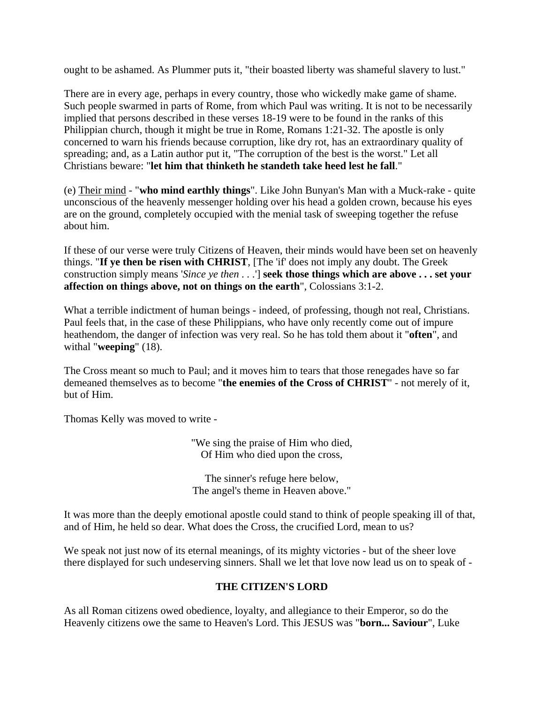ought to be ashamed. As Plummer puts it, "their boasted liberty was shameful slavery to lust."

There are in every age, perhaps in every country, those who wickedly make game of shame. Such people swarmed in parts of Rome, from which Paul was writing. It is not to be necessarily implied that persons described in these verses 18-19 were to be found in the ranks of this Philippian church, though it might be true in Rome, Romans 1:21-32. The apostle is only concerned to warn his friends because corruption, like dry rot, has an extraordinary quality of spreading; and, as a Latin author put it, "The corruption of the best is the worst." Let all Christians beware: "**let him that thinketh he standeth take heed lest he fall**."

(e) Their mind - "**who mind earthly things**". Like John Bunyan's Man with a Muck-rake - quite unconscious of the heavenly messenger holding over his head a golden crown, because his eyes are on the ground, completely occupied with the menial task of sweeping together the refuse about him.

If these of our verse were truly Citizens of Heaven, their minds would have been set on heavenly things. "**If ye then be risen with CHRIST**, [The 'if' does not imply any doubt. The Greek construction simply means '*Since ye then . . .*'] **seek those things which are above . . . set your affection on things above, not on things on the earth**", Colossians 3:1-2.

What a terrible indictment of human beings - indeed, of professing, though not real, Christians. Paul feels that, in the case of these Philippians, who have only recently come out of impure heathendom, the danger of infection was very real. So he has told them about it "**often**", and withal "**weeping**" (18).

The Cross meant so much to Paul; and it moves him to tears that those renegades have so far demeaned themselves as to become "**the enemies of the Cross of CHRIST**" - not merely of it, but of Him.

Thomas Kelly was moved to write -

"We sing the praise of Him who died, Of Him who died upon the cross,

The sinner's refuge here below, The angel's theme in Heaven above."

It was more than the deeply emotional apostle could stand to think of people speaking ill of that, and of Him, he held so dear. What does the Cross, the crucified Lord, mean to us?

We speak not just now of its eternal meanings, of its mighty victories - but of the sheer love there displayed for such undeserving sinners. Shall we let that love now lead us on to speak of -

# **THE CITIZEN'S LORD**

As all Roman citizens owed obedience, loyalty, and allegiance to their Emperor, so do the Heavenly citizens owe the same to Heaven's Lord. This JESUS was "**born... Saviour**", Luke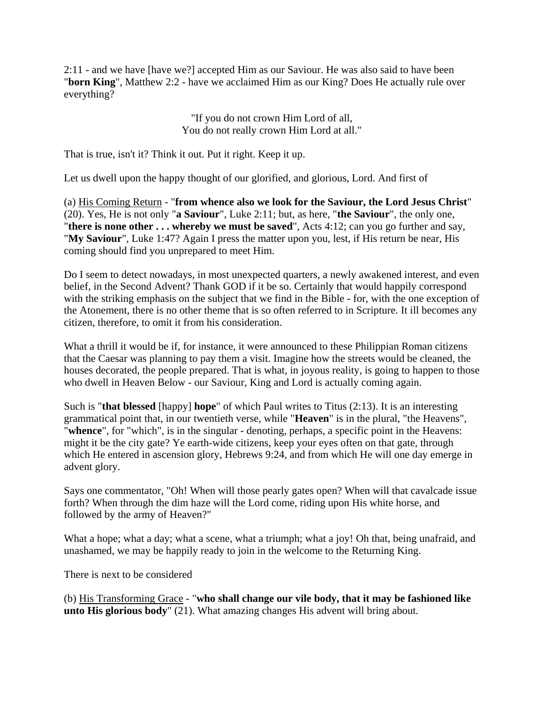2:11 - and we have [have we?] accepted Him as our Saviour. He was also said to have been "**born King**", Matthew 2:2 - have we acclaimed Him as our King? Does He actually rule over everything?

> "If you do not crown Him Lord of all, You do not really crown Him Lord at all."

That is true, isn't it? Think it out. Put it right. Keep it up.

Let us dwell upon the happy thought of our glorified, and glorious, Lord. And first of

(a) His Coming Return - "**from whence also we look for the Saviour, the Lord Jesus Christ**" (20). Yes, He is not only "**a Saviour**", Luke 2:11; but, as here, "**the Saviour**", the only one, "**there is none other . . . whereby we must be saved**", Acts 4:12; can you go further and say, "**My Saviour**", Luke 1:47? Again I press the matter upon you, lest, if His return be near, His coming should find you unprepared to meet Him.

Do I seem to detect nowadays, in most unexpected quarters, a newly awakened interest, and even belief, in the Second Advent? Thank GOD if it be so. Certainly that would happily correspond with the striking emphasis on the subject that we find in the Bible - for, with the one exception of the Atonement, there is no other theme that is so often referred to in Scripture. It ill becomes any citizen, therefore, to omit it from his consideration.

What a thrill it would be if, for instance, it were announced to these Philippian Roman citizens that the Caesar was planning to pay them a visit. Imagine how the streets would be cleaned, the houses decorated, the people prepared. That is what, in joyous reality, is going to happen to those who dwell in Heaven Below - our Saviour, King and Lord is actually coming again.

Such is "**that blessed** [happy] **hope**" of which Paul writes to Titus (2:13). It is an interesting grammatical point that, in our twentieth verse, while "**Heaven**" is in the plural, "the Heavens", "**whence**", for "which", is in the singular - denoting, perhaps, a specific point in the Heavens: might it be the city gate? Ye earth-wide citizens, keep your eyes often on that gate, through which He entered in ascension glory, Hebrews 9:24, and from which He will one day emerge in advent glory.

Says one commentator, "Oh! When will those pearly gates open? When will that cavalcade issue forth? When through the dim haze will the Lord come, riding upon His white horse, and followed by the army of Heaven?"

What a hope; what a day; what a scene, what a triumph; what a joy! Oh that, being unafraid, and unashamed, we may be happily ready to join in the welcome to the Returning King.

There is next to be considered

(b) His Transforming Grace - "**who shall change our vile body, that it may be fashioned like unto His glorious body**" (21). What amazing changes His advent will bring about.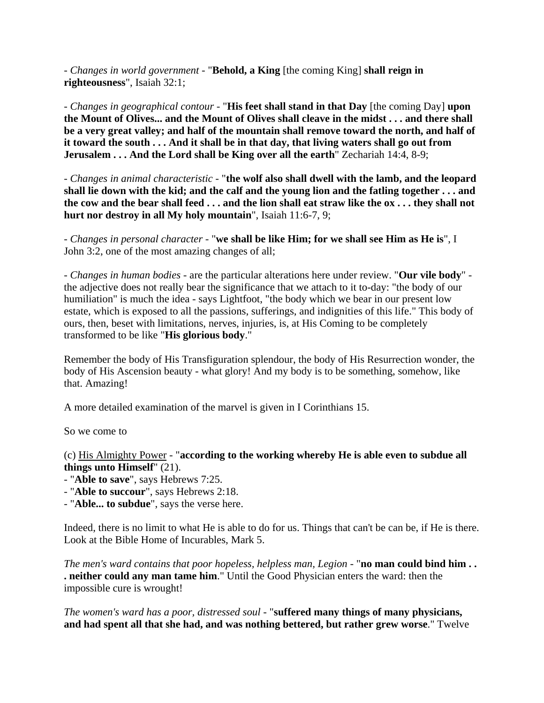- *Changes in world government* - "**Behold, a King** [the coming King] **shall reign in righteousness**", Isaiah 32:1;

- *Changes in geographical contour* - "**His feet shall stand in that Day** [the coming Day] **upon the Mount of Olives... and the Mount of Olives shall cleave in the midst . . . and there shall be a very great valley; and half of the mountain shall remove toward the north, and half of it toward the south . . . And it shall be in that day, that living waters shall go out from Jerusalem ... And the Lord shall be King over all the earth**" Zechariah 14:4, 8-9;

- *Changes in animal characteristic* - "**the wolf also shall dwell with the lamb, and the leopard shall lie down with the kid; and the calf and the young lion and the fatling together . . . and the cow and the bear shall feed . . . and the lion shall eat straw like the ox . . . they shall not hurt nor destroy in all My holy mountain**", Isaiah 11:6-7, 9;

- *Changes in personal character* - "**we shall be like Him; for we shall see Him as He is**", I John 3:2, one of the most amazing changes of all;

- *Changes in human bodies* - are the particular alterations here under review. "**Our vile body**" the adjective does not really bear the significance that we attach to it to-day: "the body of our humiliation" is much the idea - says Lightfoot, "the body which we bear in our present low estate, which is exposed to all the passions, sufferings, and indignities of this life." This body of ours, then, beset with limitations, nerves, injuries, is, at His Coming to be completely transformed to be like "**His glorious body**."

Remember the body of His Transfiguration splendour, the body of His Resurrection wonder, the body of His Ascension beauty - what glory! And my body is to be something, somehow, like that. Amazing!

A more detailed examination of the marvel is given in I Corinthians 15.

So we come to

(c) His Almighty Power - "**according to the working whereby He is able even to subdue all things unto Himself**" (21).

- "**Able to save**", says Hebrews 7:25.
- "**Able to succour**", says Hebrews 2:18.
- "**Able... to subdue**", says the verse here.

Indeed, there is no limit to what He is able to do for us. Things that can't be can be, if He is there. Look at the Bible Home of Incurables, Mark 5.

*The men's ward contains that poor hopeless, helpless man, Legion* - "**no man could bind him . . . neither could any man tame him**." Until the Good Physician enters the ward: then the impossible cure is wrought!

*The women's ward has a poor, distressed soul* - "**suffered many things of many physicians, and had spent all that she had, and was nothing bettered, but rather grew worse**." Twelve